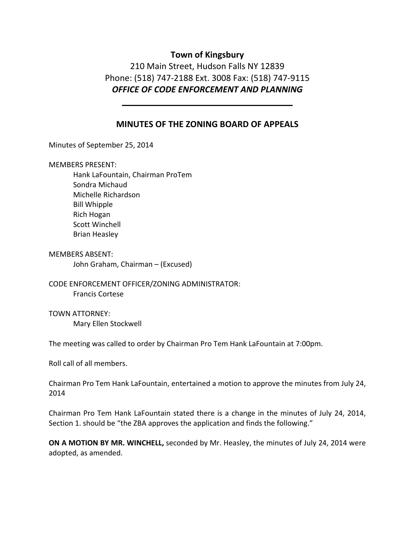# **Town of Kingsbury**

210 Main Street, Hudson Falls NY 12839 Phone: (518) 747‐2188 Ext. 3008 Fax: (518) 747‐9115 *OFFICE OF CODE ENFORCEMENT AND PLANNING*

## **MINUTES OF THE ZONING BOARD OF APPEALS**

Minutes of September 25, 2014

MEMBERS PRESENT:

Hank LaFountain, Chairman ProTem Sondra Michaud Michelle Richardson Bill Whipple Rich Hogan Scott Winchell Brian Heasley

MEMBERS ABSENT: John Graham, Chairman – (Excused)

CODE ENFORCEMENT OFFICER/ZONING ADMINISTRATOR: Francis Cortese

TOWN ATTORNEY: Mary Ellen Stockwell

The meeting was called to order by Chairman Pro Tem Hank LaFountain at 7:00pm.

Roll call of all members.

Chairman Pro Tem Hank LaFountain, entertained a motion to approve the minutes from July 24, 2014

Chairman Pro Tem Hank LaFountain stated there is a change in the minutes of July 24, 2014, Section 1. should be "the ZBA approves the application and finds the following."

**ON A MOTION BY MR. WINCHELL,** seconded by Mr. Heasley, the minutes of July 24, 2014 were adopted, as amended.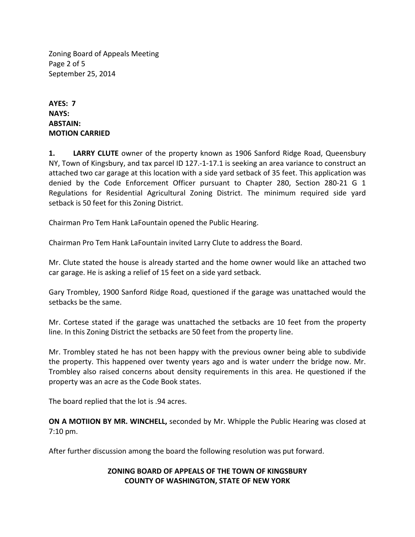Zoning Board of Appeals Meeting Page 2 of 5 September 25, 2014

**AYES: 7 NAYS: ABSTAIN: MOTION CARRIED**

**1. LARRY CLUTE** owner of the property known as 1906 Sanford Ridge Road, Queensbury NY, Town of Kingsbury, and tax parcel ID 127.‐1‐17.1 is seeking an area variance to construct an attached two car garage at this location with a side yard setback of 35 feet. This application was denied by the Code Enforcement Officer pursuant to Chapter 280, Section 280‐21 G 1 Regulations for Residential Agricultural Zoning District. The minimum required side yard setback is 50 feet for this Zoning District.

Chairman Pro Tem Hank LaFountain opened the Public Hearing.

Chairman Pro Tem Hank LaFountain invited Larry Clute to address the Board.

Mr. Clute stated the house is already started and the home owner would like an attached two car garage. He is asking a relief of 15 feet on a side yard setback.

Gary Trombley, 1900 Sanford Ridge Road, questioned if the garage was unattached would the setbacks be the same.

Mr. Cortese stated if the garage was unattached the setbacks are 10 feet from the property line. In this Zoning District the setbacks are 50 feet from the property line.

Mr. Trombley stated he has not been happy with the previous owner being able to subdivide the property. This happened over twenty years ago and is water underr the bridge now. Mr. Trombley also raised concerns about density requirements in this area. He questioned if the property was an acre as the Code Book states.

The board replied that the lot is .94 acres.

**ON A MOTIION BY MR. WINCHELL,** seconded by Mr. Whipple the Public Hearing was closed at 7:10 pm.

After further discussion among the board the following resolution was put forward.

## **ZONING BOARD OF APPEALS OF THE TOWN OF KINGSBURY COUNTY OF WASHINGTON, STATE OF NEW YORK**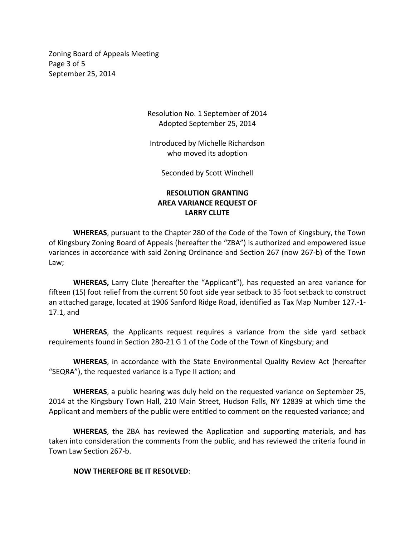Zoning Board of Appeals Meeting Page 3 of 5 September 25, 2014

> Resolution No. 1 September of 2014 Adopted September 25, 2014

Introduced by Michelle Richardson who moved its adoption

Seconded by Scott Winchell

## **RESOLUTION GRANTING AREA VARIANCE REQUEST OF LARRY CLUTE**

**WHEREAS**, pursuant to the Chapter 280 of the Code of the Town of Kingsbury, the Town of Kingsbury Zoning Board of Appeals (hereafter the "ZBA") is authorized and empowered issue variances in accordance with said Zoning Ordinance and Section 267 (now 267‐b) of the Town Law;

**WHEREAS,** Larry Clute (hereafter the "Applicant"), has requested an area variance for fifteen (15) foot relief from the current 50 foot side year setback to 35 foot setback to construct an attached garage, located at 1906 Sanford Ridge Road, identified as Tax Map Number 127.‐1‐ 17.1, and

**WHEREAS**, the Applicants request requires a variance from the side yard setback requirements found in Section 280‐21 G 1 of the Code of the Town of Kingsbury; and

**WHEREAS**, in accordance with the State Environmental Quality Review Act (hereafter "SEQRA"), the requested variance is a Type II action; and

**WHEREAS**, a public hearing was duly held on the requested variance on September 25, 2014 at the Kingsbury Town Hall, 210 Main Street, Hudson Falls, NY 12839 at which time the Applicant and members of the public were entitled to comment on the requested variance; and

**WHEREAS**, the ZBA has reviewed the Application and supporting materials, and has taken into consideration the comments from the public, and has reviewed the criteria found in Town Law Section 267‐b.

#### **NOW THEREFORE BE IT RESOLVED**: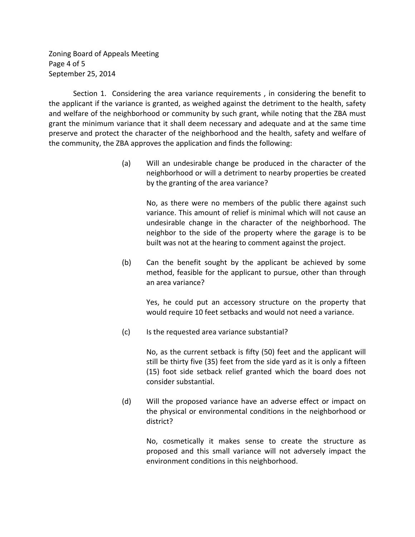Zoning Board of Appeals Meeting Page 4 of 5 September 25, 2014

Section 1. Considering the area variance requirements , in considering the benefit to the applicant if the variance is granted, as weighed against the detriment to the health, safety and welfare of the neighborhood or community by such grant, while noting that the ZBA must grant the minimum variance that it shall deem necessary and adequate and at the same time preserve and protect the character of the neighborhood and the health, safety and welfare of the community, the ZBA approves the application and finds the following:

> (a) Will an undesirable change be produced in the character of the neighborhood or will a detriment to nearby properties be created by the granting of the area variance?

> > No, as there were no members of the public there against such variance. This amount of relief is minimal which will not cause an undesirable change in the character of the neighborhood. The neighbor to the side of the property where the garage is to be built was not at the hearing to comment against the project.

 (b) Can the benefit sought by the applicant be achieved by some method, feasible for the applicant to pursue, other than through an area variance?

Yes, he could put an accessory structure on the property that would require 10 feet setbacks and would not need a variance.

(c) Is the requested area variance substantial?

No, as the current setback is fifty (50) feet and the applicant will still be thirty five (35) feet from the side yard as it is only a fifteen (15) foot side setback relief granted which the board does not consider substantial.

 (d) Will the proposed variance have an adverse effect or impact on the physical or environmental conditions in the neighborhood or district?

> No, cosmetically it makes sense to create the structure as proposed and this small variance will not adversely impact the environment conditions in this neighborhood.